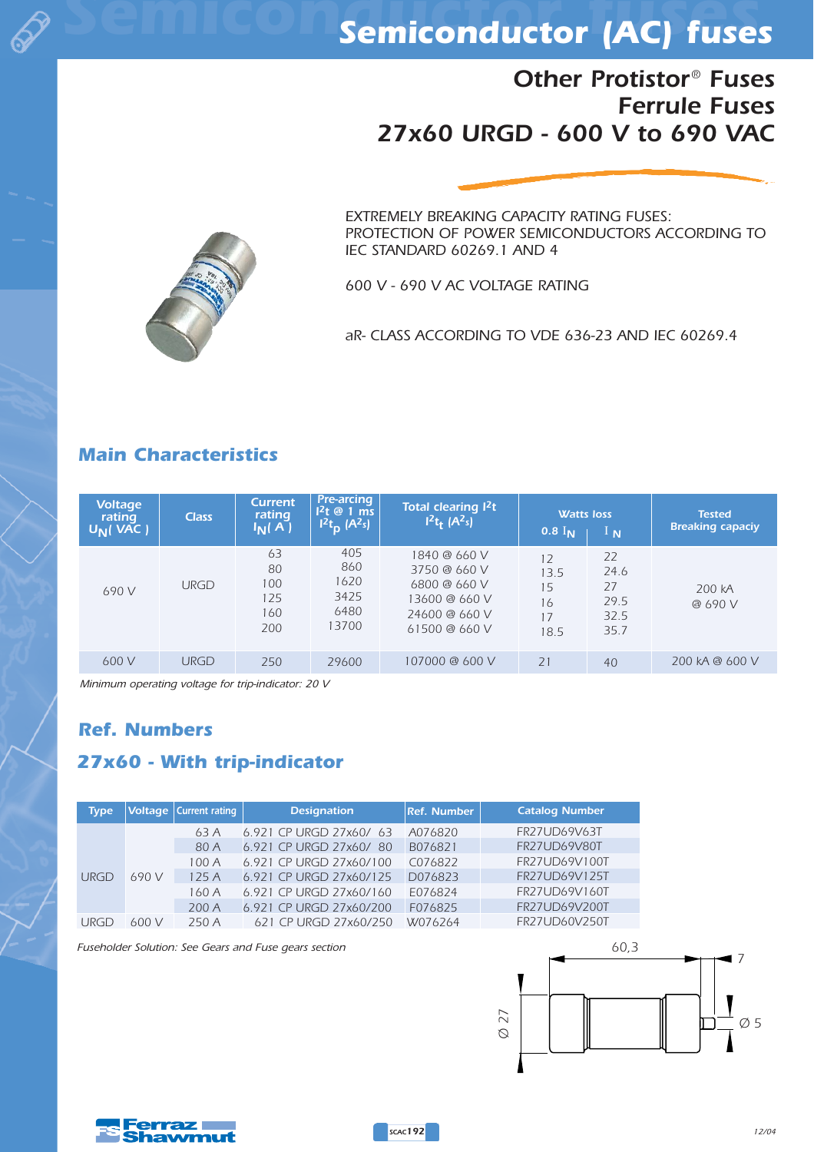

## *Semiconductor fuses Semiconductor (AC) fuses*

## *Other Protistor® Fuses Ferrule Fuses 27x60 URGD - 600 V to 690 VAC*



*EXTREMELY BREAKING CAPACITY RATING FUSES: PROTECTION OF POWER SEMICONDUCTORS ACCORDING TO IEC STANDARD 60269.1 AND 4*

*600 V - 690 V AC VOLTAGE RATING*

*aR- CLASS ACCORDING TO VDE 636-23 AND IEC 60269.4*

### *Main Characteristics*

| <b>Voltage</b><br>rating<br>$U_N($ VAC $)$ | <b>Class</b> | <b>Current</b><br>rating<br>$I_N(A)$ | <b>Pre-arcing</b><br>$12t \otimes 1$ ms<br>$1^2t_p$ (A <sup>2</sup> s) | Total clearing <sup>2</sup> t<br>$1^2t_t$ (A <sup>2</sup> s)                                    | <b>Watts loss</b><br>$0.8$ $\overline{I_{N}}$ | $\frac{1}{N}$                            | <b>Tested</b><br><b>Breaking capaciy</b> |
|--------------------------------------------|--------------|--------------------------------------|------------------------------------------------------------------------|-------------------------------------------------------------------------------------------------|-----------------------------------------------|------------------------------------------|------------------------------------------|
| 690 V                                      | <b>URGD</b>  | 63<br>80<br>100<br>125<br>160<br>200 | 405<br>860<br>1620<br>3425<br>6480<br>13700                            | 1840 @ 660 V<br>3750 @ 660 V<br>6800 @ 660 V<br>13600 @ 660 V<br>24600 @ 660 V<br>61500 @ 660 V | 12<br>13.5<br>15<br>16<br>17<br>18.5          | 22<br>24.6<br>27<br>29.5<br>32.5<br>35.7 | 200 kA<br>@ 690 V                        |
| 600 V                                      | <b>URGD</b>  | 250                                  | 29600                                                                  | 107000 @ 600 V                                                                                  | 21                                            | 40                                       | 200 KA @ 600 V                           |

*Minimum operating voltage for trip-indicator: 20 V*

#### *Ref. Numbers*

#### *27x60 - With trip-indicator*

| <b>Type</b> |       | Voltage   Current rating | <b>Designation</b>      |         | <b>Catalog Number</b> |
|-------------|-------|--------------------------|-------------------------|---------|-----------------------|
| <b>URGD</b> | 690 V | 63A                      | 6.921 CP URGD 27x60/ 63 | A076820 | <b>FR27UD69V63T</b>   |
|             |       | 80 A                     | 6.921 CP URGD 27x60/ 80 | B076821 | <b>FR27UD69V80T</b>   |
|             |       | 100A                     | 6.921 CP URGD 27x60/100 | C076822 | FR27UD69V100T         |
|             |       | 125A                     | 6.921 CP URGD 27x60/125 | D076823 | FR27UD69V125T         |
|             |       | 160A                     | 6.921 CP URGD 27x60/160 | E076824 | FR27UD69V160T         |
|             |       | 200A                     | 6.921 CP URGD 27x60/200 | F076825 | FR27UD69V200T         |
| URGD        | 600 V | 250 A                    | 621 CP URGD 27x60/250   | W076264 | FR27UD60V250T         |

*Fuseholder Solution: See Gears and Fuse gears section*





*SCAC192*